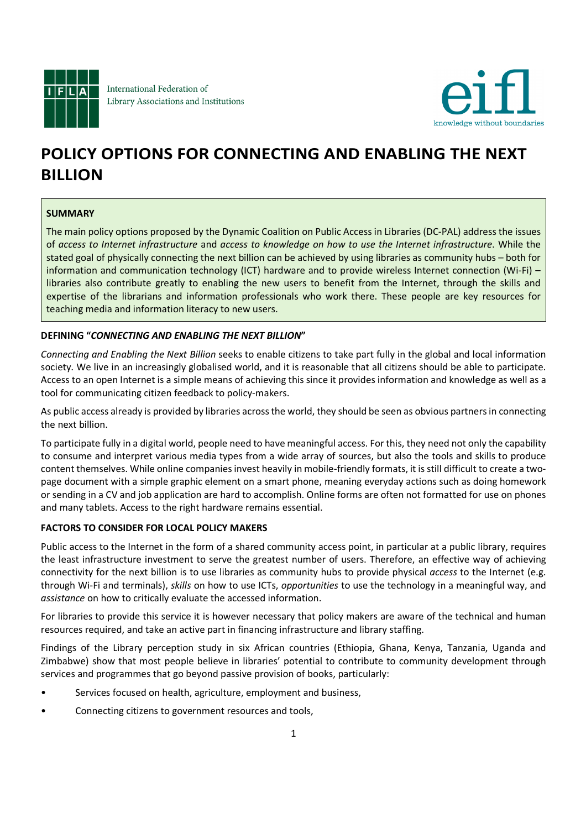

International Federation of Library Associations and Institutions



# POLICY OPTIONS FOR CONNECTING AND ENABLING THE NEXT BILLION

## SUMMARY

The main policy options proposed by the Dynamic Coalition on Public Access in Libraries (DC-PAL) address the issues of access to Internet infrastructure and access to knowledge on how to use the Internet infrastructure. While the stated goal of physically connecting the next billion can be achieved by using libraries as community hubs – both for information and communication technology (ICT) hardware and to provide wireless Internet connection (Wi-Fi) – libraries also contribute greatly to enabling the new users to benefit from the Internet, through the skills and expertise of the librarians and information professionals who work there. These people are key resources for teaching media and information literacy to new users.

### DEFINING "CONNECTING AND ENABLING THE NEXT BILLION"

Connecting and Enabling the Next Billion seeks to enable citizens to take part fully in the global and local information society. We live in an increasingly globalised world, and it is reasonable that all citizens should be able to participate. Access to an open Internet is a simple means of achieving this since it provides information and knowledge as well as a tool for communicating citizen feedback to policy-makers.

As public access already is provided by libraries across the world, they should be seen as obvious partners in connecting the next billion.

To participate fully in a digital world, people need to have meaningful access. For this, they need not only the capability to consume and interpret various media types from a wide array of sources, but also the tools and skills to produce content themselves. While online companies invest heavily in mobile-friendly formats, it is still difficult to create a twopage document with a simple graphic element on a smart phone, meaning everyday actions such as doing homework or sending in a CV and job application are hard to accomplish. Online forms are often not formatted for use on phones and many tablets. Access to the right hardware remains essential.

### FACTORS TO CONSIDER FOR LOCAL POLICY MAKERS

Public access to the Internet in the form of a shared community access point, in particular at a public library, requires the least infrastructure investment to serve the greatest number of users. Therefore, an effective way of achieving connectivity for the next billion is to use libraries as community hubs to provide physical access to the Internet (e.g. through Wi-Fi and terminals), skills on how to use ICTs, opportunities to use the technology in a meaningful way, and assistance on how to critically evaluate the accessed information.

For libraries to provide this service it is however necessary that policy makers are aware of the technical and human resources required, and take an active part in financing infrastructure and library staffing.

Findings of the Library perception study in six African countries (Ethiopia, Ghana, Kenya, Tanzania, Uganda and Zimbabwe) show that most people believe in libraries' potential to contribute to community development through services and programmes that go beyond passive provision of books, particularly:

- Services focused on health, agriculture, employment and business,
- Connecting citizens to government resources and tools,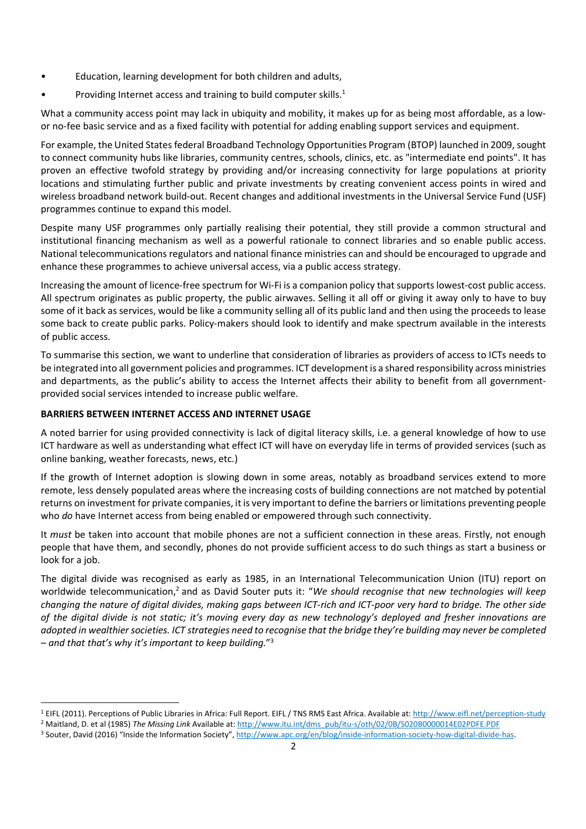- Education, learning development for both children and adults,
- Providing Internet access and training to build computer skills. $1$

What a community access point may lack in ubiquity and mobility, it makes up for as being most affordable, as a lowor no-fee basic service and as a fixed facility with potential for adding enabling support services and equipment.

For example, the United States federal Broadband Technology Opportunities Program (BTOP) launched in 2009, sought to connect community hubs like libraries, community centres, schools, clinics, etc. as "intermediate end points". It has proven an effective twofold strategy by providing and/or increasing connectivity for large populations at priority locations and stimulating further public and private investments by creating convenient access points in wired and wireless broadband network build-out. Recent changes and additional investments in the Universal Service Fund (USF) programmes continue to expand this model.

Despite many USF programmes only partially realising their potential, they still provide a common structural and institutional financing mechanism as well as a powerful rationale to connect libraries and so enable public access. National telecommunications regulators and national finance ministries can and should be encouraged to upgrade and enhance these programmes to achieve universal access, via a public access strategy.

Increasing the amount of licence-free spectrum for Wi-Fi is a companion policy that supports lowest-cost public access. All spectrum originates as public property, the public airwaves. Selling it all off or giving it away only to have to buy some of it back as services, would be like a community selling all of its public land and then using the proceeds to lease some back to create public parks. Policy-makers should look to identify and make spectrum available in the interests of public access.

To summarise this section, we want to underline that consideration of libraries as providers of access to ICTs needs to be integrated into all government policies and programmes. ICT development is a shared responsibility across ministries and departments, as the public's ability to access the Internet affects their ability to benefit from all governmentprovided social services intended to increase public welfare.

## BARRIERS BETWEEN INTERNET ACCESS AND INTERNET USAGE

A noted barrier for using provided connectivity is lack of digital literacy skills, i.e. a general knowledge of how to use ICT hardware as well as understanding what effect ICT will have on everyday life in terms of provided services (such as online banking, weather forecasts, news, etc.)

If the growth of Internet adoption is slowing down in some areas, notably as broadband services extend to more remote, less densely populated areas where the increasing costs of building connections are not matched by potential returns on investment for private companies, it is very important to define the barriers or limitations preventing people who do have Internet access from being enabled or empowered through such connectivity.

It must be taken into account that mobile phones are not a sufficient connection in these areas. Firstly, not enough people that have them, and secondly, phones do not provide sufficient access to do such things as start a business or look for a job.

The digital divide was recognised as early as 1985, in an International Telecommunication Union (ITU) report on worldwide telecommunication,<sup>2</sup> and as David Souter puts it: "We should recognise that new technologies will keep changing the nature of digital divides, making gaps between ICT-rich and ICT-poor very hard to bridge. The other side of the digital divide is not static; it's moving every day as new technology's deployed and fresher innovations are adopted in wealthier societies. ICT strategies need to recognise that the bridge they're building may never be completed – and that that's why it's important to keep building." $3$ 

 1 EIFL (2011). Perceptions of Public Libraries in Africa: Full Report. EIFL / TNS RMS East Africa. Available at: http://www.eifl.net/perception-study

<sup>&</sup>lt;sup>2</sup> Maitland, D. et al (1985) The Missing Link Available at: http://www.itu.int/dms\_pub/itu-s/oth/02/0B/S020B0000014E02PDFE.PDF<br><sup>3</sup> Souter, David (2016) "Inside the Information Society", http://www.apc.org/en/blog/inside-i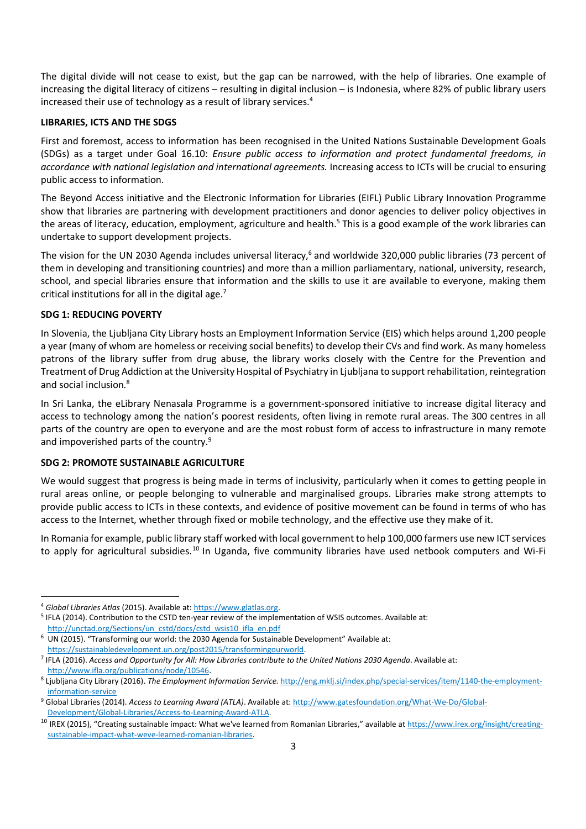The digital divide will not cease to exist, but the gap can be narrowed, with the help of libraries. One example of increasing the digital literacy of citizens – resulting in digital inclusion – is Indonesia, where 82% of public library users increased their use of technology as a result of library services.<sup>4</sup>

#### LIBRARIES, ICTS AND THE SDGS

First and foremost, access to information has been recognised in the United Nations Sustainable Development Goals (SDGs) as a target under Goal 16.10: Ensure public access to information and protect fundamental freedoms, in accordance with national legislation and international agreements. Increasing access to ICTs will be crucial to ensuring public access to information.

The Beyond Access initiative and the Electronic Information for Libraries (EIFL) Public Library Innovation Programme show that libraries are partnering with development practitioners and donor agencies to deliver policy objectives in the areas of literacy, education, employment, agriculture and health.<sup>5</sup> This is a good example of the work libraries can undertake to support development projects.

The vision for the UN 2030 Agenda includes universal literacy,<sup>6</sup> and worldwide 320,000 public libraries (73 percent of them in developing and transitioning countries) and more than a million parliamentary, national, university, research, school, and special libraries ensure that information and the skills to use it are available to everyone, making them critical institutions for all in the digital age. $<sup>7</sup>$ </sup>

### SDG 1: REDUCING POVERTY

In Slovenia, the Ljubljana City Library hosts an Employment Information Service (EIS) which helps around 1,200 people a year (many of whom are homeless or receiving social benefits) to develop their CVs and find work. As many homeless patrons of the library suffer from drug abuse, the library works closely with the Centre for the Prevention and Treatment of Drug Addiction at the University Hospital of Psychiatry in Ljubljana to support rehabilitation, reintegration and social inclusion.<sup>8</sup>

In Sri Lanka, the eLibrary Nenasala Programme is a government-sponsored initiative to increase digital literacy and access to technology among the nation's poorest residents, often living in remote rural areas. The 300 centres in all parts of the country are open to everyone and are the most robust form of access to infrastructure in many remote and impoverished parts of the country.<sup>9</sup>

### SDG 2: PROMOTE SUSTAINABLE AGRICULTURE

We would suggest that progress is being made in terms of inclusivity, particularly when it comes to getting people in rural areas online, or people belonging to vulnerable and marginalised groups. Libraries make strong attempts to provide public access to ICTs in these contexts, and evidence of positive movement can be found in terms of who has access to the Internet, whether through fixed or mobile technology, and the effective use they make of it.

In Romania for example, public library staff worked with local government to help 100,000 farmers use new ICT services to apply for agricultural subsidies.<sup>10</sup> In Uganda, five community libraries have used netbook computers and Wi-Fi

<sup>&</sup>lt;sup>4</sup> Global Libraries Atlas (2015). Available at: https://www.glatlas.org.

<sup>&</sup>lt;sup>5</sup> IFLA (2014). Contribution to the CSTD ten-year review of the implementation of WSIS outcomes. Available at:

http://unctad.org/Sections/un\_cstd/docs/cstd\_wsis10\_ifla\_en.pdf 6 UN (2015). "Transforming our world: the 2030 Agenda for Sustainable Development" Available at:

https://sustainabledevelopment.un.org/post2015/transformingourworld.<br><sup>7</sup> IFLA (2016). Access and Opportunity for All: How Libraries contribute to the United Nations 2030 Agenda. Available at:

http://www.ifla.org/publications/node/10546.<br><sup>8</sup> Ljubljana City Library (2016). The Employment Information Service. http://eng.mklj.si/index.php/special-services/item/1140-the-employment-

information-service<br><sup>9</sup> Global Libraries (2014). Access to Learning Award (ATLA). Available at: http://www.gatesfoundation.org/What-We-Do/Global-

Development/Global-Libraries/Access-to-Learning-Award-ATLA.<br><sup>10</sup> IREX (2015), "Creating sustainable impact: What we've learned from Romanian Libraries," available at https://www.irex.org/insight/creatingsustainable-impact-what-weve-learned-romanian-libraries.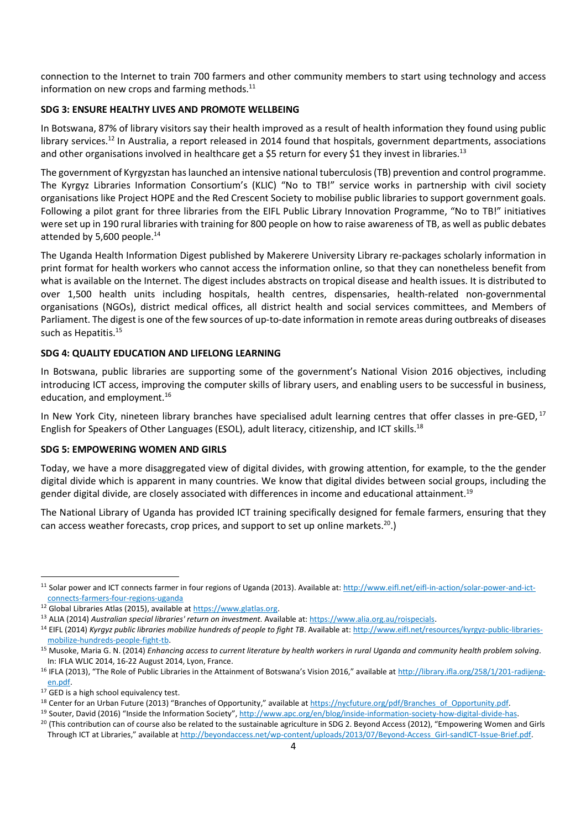connection to the Internet to train 700 farmers and other community members to start using technology and access information on new crops and farming methods. $^{11}$ 

#### SDG 3: ENSURE HEALTHY LIVES AND PROMOTE WELLBEING

In Botswana, 87% of library visitors say their health improved as a result of health information they found using public library services.<sup>12</sup> In Australia, a report released in 2014 found that hospitals, government departments, associations and other organisations involved in healthcare get a \$5 return for every \$1 they invest in libraries.<sup>13</sup>

The government of Kyrgyzstan has launched an intensive national tuberculosis (TB) prevention and control programme. The Kyrgyz Libraries Information Consortium's (KLIC) "No to TB!" service works in partnership with civil society organisations like Project HOPE and the Red Crescent Society to mobilise public libraries to support government goals. Following a pilot grant for three libraries from the EIFL Public Library Innovation Programme, "No to TB!" initiatives were set up in 190 rural libraries with training for 800 people on how to raise awareness of TB, as well as public debates attended by 5,600 people.<sup>14</sup>

The Uganda Health Information Digest published by Makerere University Library re-packages scholarly information in print format for health workers who cannot access the information online, so that they can nonetheless benefit from what is available on the Internet. The digest includes abstracts on tropical disease and health issues. It is distributed to over 1,500 health units including hospitals, health centres, dispensaries, health-related non-governmental organisations (NGOs), district medical offices, all district health and social services committees, and Members of Parliament. The digest is one of the few sources of up-to-date information in remote areas during outbreaks of diseases such as Hepatitis.<sup>15</sup>

#### SDG 4: QUALITY EDUCATION AND LIFELONG LEARNING

In Botswana, public libraries are supporting some of the government's National Vision 2016 objectives, including introducing ICT access, improving the computer skills of library users, and enabling users to be successful in business, education, and employment.<sup>16</sup>

In New York City, nineteen library branches have specialised adult learning centres that offer classes in pre-GED.<sup>17</sup> English for Speakers of Other Languages (ESOL), adult literacy, citizenship, and ICT skills.18

#### SDG 5: EMPOWERING WOMEN AND GIRLS

Today, we have a more disaggregated view of digital divides, with growing attention, for example, to the the gender digital divide which is apparent in many countries. We know that digital divides between social groups, including the gender digital divide, are closely associated with differences in income and educational attainment.<sup>19</sup>

The National Library of Uganda has provided ICT training specifically designed for female farmers, ensuring that they can access weather forecasts, crop prices, and support to set up online markets.<sup>20</sup>.)

 <sup>11</sup> Solar power and ICT connects farmer in four regions of Uganda (2013). Available at: http://www.eifl.net/eifl-in-action/solar-power-and-ict-

connects-farmers-four-regions-uganda<br><sup>12</sup> Global Libraries Atlas (2015), available at https://www.glatlas.org.<br><sup>13</sup> ALIA (2014) *Australian special libraries' return on investment*. Available at: https://www.alia.org.au/ro

mobilize-hundreds-people-fight-tb.<br><sup>15</sup> Musoke, Maria G. N. (2014) *Enhancing access to current literature by health workers in rural Uganda and community health problem solving.<br>In: IFLA WLIC 2014, 16-22 August 2014, Lyon* 

<sup>&</sup>lt;sup>16</sup> IFLA (2013), "The Role of Public Libraries in the Attainment of Botswana's Vision 2016," available at http://library.ifla.org/258/1/201-radijengen.pdf.<br><sup>17</sup> GED is a high school equivalency test.

<sup>&</sup>lt;sup>18</sup> Center for an Urban Future (2013) "Branches of Opportunity," available at https://nycfuture.org/pdf/Branches\_of\_Opportunity.pdf.<br><sup>19</sup> Souter, David (2016) "Inside the Information Society", http://www.apc.org/en/blog/i

Through ICT at Libraries," available at http://beyondaccess.net/wp-content/uploads/2013/07/Beyond-Access\_Girl-sandICT-Issue-Brief.pdf.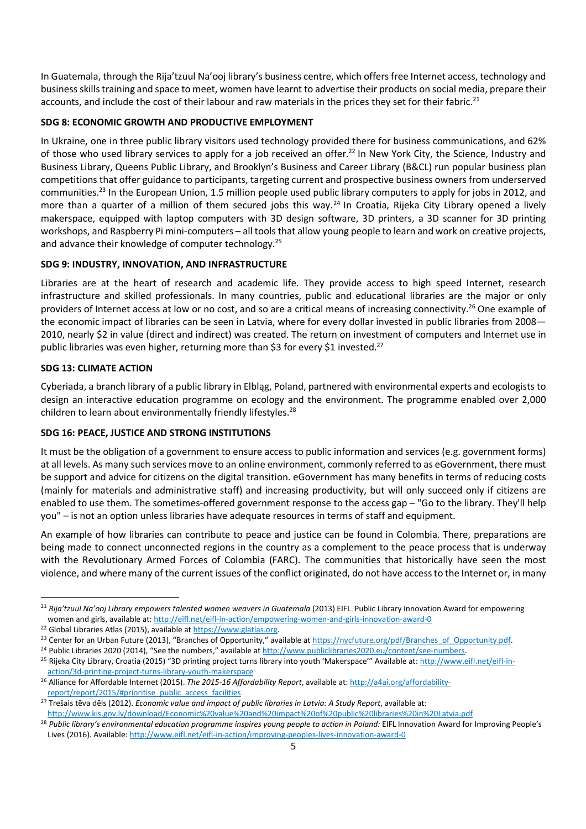In Guatemala, through the Rija'tzuul Na'ooj library's business centre, which offers free Internet access, technology and business skills training and space to meet, women have learnt to advertise their products on social media, prepare their accounts, and include the cost of their labour and raw materials in the prices they set for their fabric.<sup>21</sup>

## SDG 8: ECONOMIC GROWTH AND PRODUCTIVE EMPLOYMENT

In Ukraine, one in three public library visitors used technology provided there for business communications, and 62% of those who used library services to apply for a job received an offer.<sup>22</sup> In New York City, the Science, Industry and Business Library, Queens Public Library, and Brooklyn's Business and Career Library (B&CL) run popular business plan competitions that offer guidance to participants, targeting current and prospective business owners from underserved communities.<sup>23</sup> In the European Union, 1.5 million people used public library computers to apply for jobs in 2012, and more than a quarter of a million of them secured jobs this way.<sup>24</sup> In Croatia, Rijeka City Library opened a lively makerspace, equipped with laptop computers with 3D design software, 3D printers, a 3D scanner for 3D printing workshops, and Raspberry Pi mini-computers – all tools that allow young people to learn and work on creative projects, and advance their knowledge of computer technology.<sup>25</sup>

## SDG 9: INDUSTRY, INNOVATION, AND INFRASTRUCTURE

Libraries are at the heart of research and academic life. They provide access to high speed Internet, research infrastructure and skilled professionals. In many countries, public and educational libraries are the major or only providers of Internet access at low or no cost, and so are a critical means of increasing connectivity.<sup>26</sup> One example of the economic impact of libraries can be seen in Latvia, where for every dollar invested in public libraries from 2008— 2010, nearly \$2 in value (direct and indirect) was created. The return on investment of computers and Internet use in public libraries was even higher, returning more than \$3 for every \$1 invested.<sup>27</sup>

## SDG 13: CLIMATE ACTION

Cyberiada, a branch library of a public library in Elbląg, Poland, partnered with environmental experts and ecologists to design an interactive education programme on ecology and the environment. The programme enabled over 2,000 children to learn about environmentally friendly lifestyles. $^{28}$ 

## SDG 16: PEACE, JUSTICE AND STRONG INSTITUTIONS

It must be the obligation of a government to ensure access to public information and services (e.g. government forms) at all levels. As many such services move to an online environment, commonly referred to as eGovernment, there must be support and advice for citizens on the digital transition. eGovernment has many benefits in terms of reducing costs (mainly for materials and administrative staff) and increasing productivity, but will only succeed only if citizens are enabled to use them. The sometimes-offered government response to the access gap – "Go to the library. They'll help you" – is not an option unless libraries have adequate resources in terms of staff and equipment.

An example of how libraries can contribute to peace and justice can be found in Colombia. There, preparations are being made to connect unconnected regions in the country as a complement to the peace process that is underway with the Revolutionary Armed Forces of Colombia (FARC). The communities that historically have seen the most violence, and where many of the current issues of the conflict originated, do not have access to the Internet or, in many

 <sup>21</sup> Rija'tzuul Na'ooj Library empowers talented women weavers in Guatemala (2013) EIFL Public Library Innovation Award for empowering women and girls, available at: <u>http://eifl.net/eifl-in-action/empowering-women-and-girls-innovation-award-0</u><br><sup>22</sup> Global Libraries Atlas (2015), available at <u>https://www.glatlas.org</u>.<br><sup>23</sup> Center for an Urban Future (201

action/3d-printing-project-turns-library-youth-makerspace<br><sup>26</sup> Alliance for Affordable Internet (2015). The 2015-16 Affordability Report, available at: http://a4ai.org/affordability-

report/report/2015/#prioritise\_public\_access\_facilities *public libraries in Latvia: A Study Report*, available at:<br><sup>27</sup> Trešais tēva dēls (2012). *Economic value and impact of public libraries in Latvia: A Study Report*,

http://www.kis.gov.lv/download/Economic%20value%20and%20impact%20of%20public%20libraries%20in%20Latvia.pdf<br><sup>28</sup> Public library's environmental education programme inspires young people to action in Poland: EIFL Innovation

Lives (2016). Available: http://www.eifl.net/eifl-in-action/improving-peoples-lives-innovation-award-0